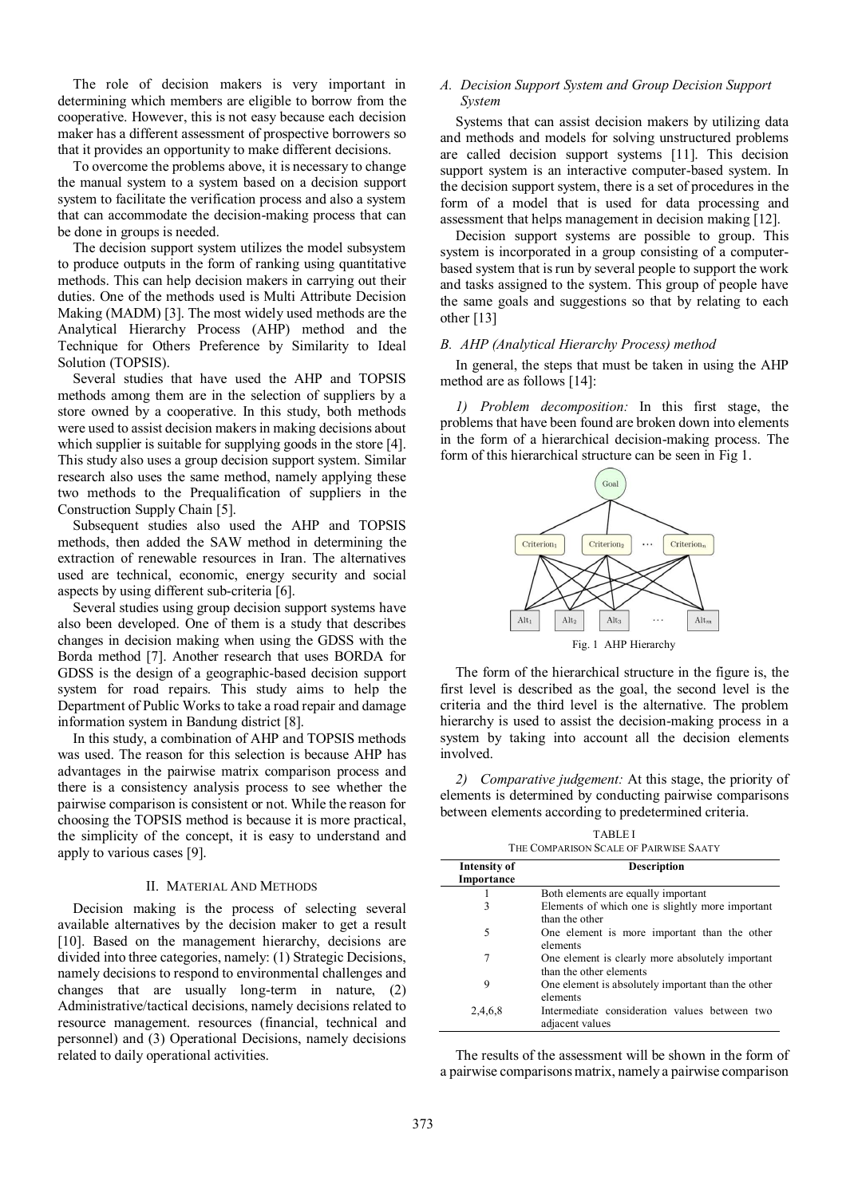The role of decision makers is very important in determining which members are eligible to borrow from the cooperative. However, this is not easy because each decision maker has a different assessment of prospective borrowers so that it provides an opportunity to make different decisions.

To overcome the problems above, it is necessary to change the manual system to a system based on a decision support system to facilitate the verification process and also a system that can accommodate the decision-making process that can be done in groups is needed.

The decision support system utilizes the model subsystem to produce outputs in the form of ranking using quantitative methods. This can help decision makers in carrying out their duties. One of the methods used is Multi Attribute Decision Making (MADM) [3]. The most widely used methods are the Analytical Hierarchy Process (AHP) method and the Technique for Others Preference by Similarity to Ideal Solution (TOPSIS).

Several studies that have used the AHP and TOPSIS methods among them are in the selection of suppliers by a store owned by a cooperative. In this study, both methods were used to assist decision makers in making decisions about which supplier is suitable for supplying goods in the store [4]. This study also uses a group decision support system. Similar research also uses the same method, namely applying these two methods to the Prequalification of suppliers in the Construction Supply Chain [5].

Subsequent studies also used the AHP and TOPSIS methods, then added the SAW method in determining the extraction of renewable resources in Iran. The alternatives used are technical, economic, energy security and social aspects by using different sub-criteria [6].

Several studies using group decision support systems have also been developed. One of them is a study that describes changes in decision making when using the GDSS with the Borda method [7]. Another research that uses BORDA for GDSS is the design of a geographic-based decision support system for road repairs. This study aims to help the Department of Public Works to take a road repair and damage information system in Bandung district [8].

In this study, a combination of AHP and TOPSIS methods was used. The reason for this selection is because AHP has advantages in the pairwise matrix comparison process and there is a consistency analysis process to see whether the pairwise comparison is consistent or not. While the reason for choosing the TOPSIS method is because it is more practical, the simplicity of the concept, it is easy to understand and apply to various cases [9].

### II. MATERIAL AND METHODS

Decision making is the process of selecting several available alternatives by the decision maker to get a result [10]. Based on the management hierarchy, decisions are divided into three categories, namely: (1) Strategic Decisions, namely decisions to respond to environmental challenges and changes that are usually long-term in nature, (2) Administrative/tactical decisions, namely decisions related to resource management. resources (financial, technical and personnel) and (3) Operational Decisions, namely decisions related to daily operational activities.

# *A. Decision Support System and Group Decision Support System*

Systems that can assist decision makers by utilizing data and methods and models for solving unstructured problems are called decision support systems [11]. This decision support system is an interactive computer-based system. In the decision support system, there is a set of procedures in the form of a model that is used for data processing and assessment that helps management in decision making [12].

Decision support systems are possible to group. This system is incorporated in a group consisting of a computerbased system that is run by several people to support the work and tasks assigned to the system. This group of people have the same goals and suggestions so that by relating to each other [13]

### *B. AHP (Analytical Hierarchy Process) method*

In general, the steps that must be taken in using the AHP method are as follows [14]:

*1) Problem decomposition:* In this first stage, the problems that have been found are broken down into elements in the form of a hierarchical decision-making process. The form of this hierarchical structure can be seen in Fig 1.



The form of the hierarchical structure in the figure is, the first level is described as the goal, the second level is the criteria and the third level is the alternative. The problem hierarchy is used to assist the decision-making process in a system by taking into account all the decision elements involved.

*2) Comparative judgement:* At this stage, the priority of elements is determined by conducting pairwise comparisons between elements according to predetermined criteria.

| <b>TABLEI</b><br>THE COMPARISON SCALE OF PAIRWISE SAATY |                                                    |  |  |  |
|---------------------------------------------------------|----------------------------------------------------|--|--|--|
| Intensity of<br>Importance                              | <b>Description</b>                                 |  |  |  |
|                                                         |                                                    |  |  |  |
| 1                                                       | Both elements are equally important                |  |  |  |
| 3                                                       | Elements of which one is slightly more important   |  |  |  |
|                                                         | than the other                                     |  |  |  |
| 5                                                       | One element is more important than the other       |  |  |  |
|                                                         | elements                                           |  |  |  |
| 7                                                       | One element is clearly more absolutely important   |  |  |  |
|                                                         | than the other elements                            |  |  |  |
| 9                                                       | One element is absolutely important than the other |  |  |  |
|                                                         | elements                                           |  |  |  |
| 2,4,6,8                                                 | Intermediate consideration values between two      |  |  |  |
|                                                         | adjacent values                                    |  |  |  |
|                                                         |                                                    |  |  |  |

The results of the assessment will be shown in the form of a pairwise comparisons matrix, namely a pairwise comparison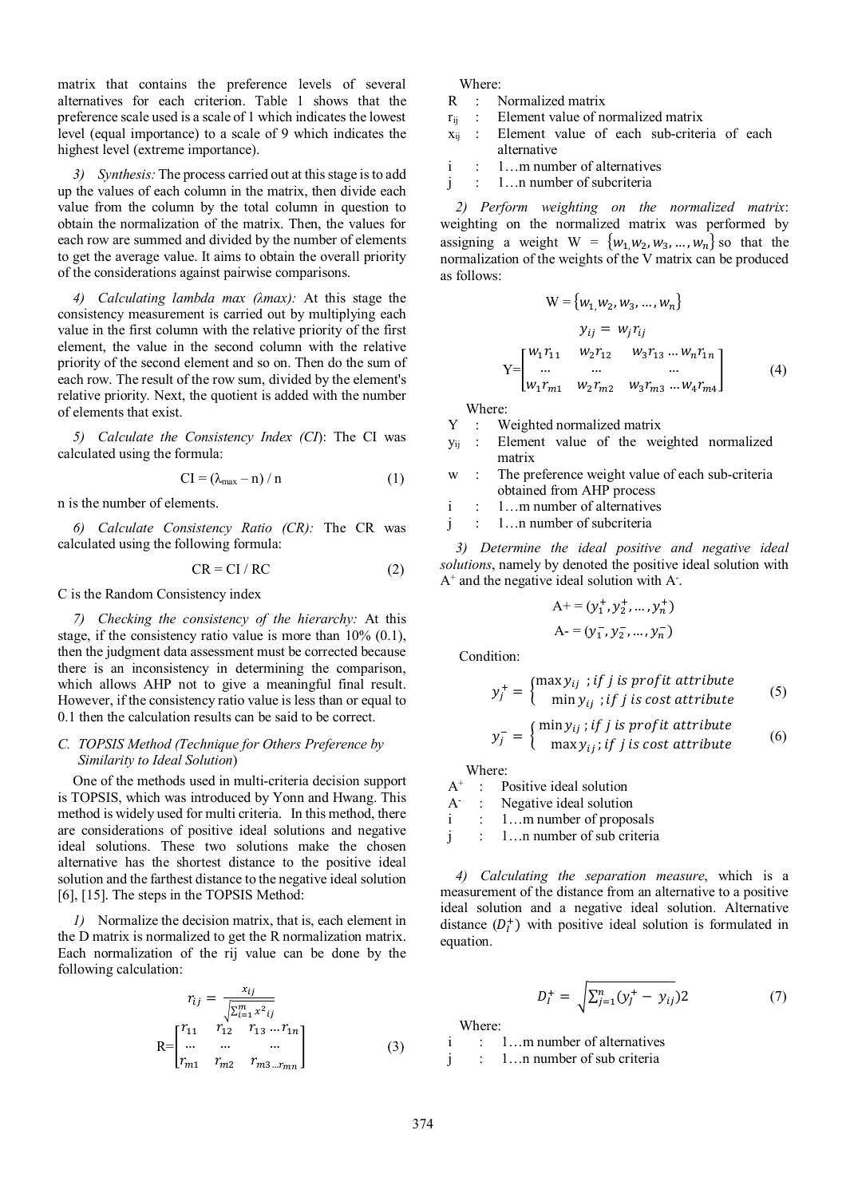matrix that contains the preference levels of several alternatives for each criterion. Table 1 shows that the preference scale used is a scale of 1 which indicates the lowest level (equal importance) to a scale of 9 which indicates the highest level (extreme importance).

*3) Synthesis:* The process carried out at this stage is to add up the values of each column in the matrix, then divide each value from the column by the total column in question to obtain the normalization of the matrix. Then, the values for each row are summed and divided by the number of elements to get the average value. It aims to obtain the overall priority of the considerations against pairwise comparisons.

*4) Calculating lambda max (λmax):* At this stage the consistency measurement is carried out by multiplying each value in the first column with the relative priority of the first element, the value in the second column with the relative priority of the second element and so on. Then do the sum of each row. The result of the row sum, divided by the element's relative priority. Next, the quotient is added with the number of elements that exist.

*5) Calculate the Consistency Index (CI*): The CI was calculated using the formula:

$$
CI = (\lambda_{\text{max}} - n) / n \tag{1}
$$

n is the number of elements.

*6) Calculate Consistency Ratio (CR):* The CR was calculated using the following formula:

$$
CR = CI / RC
$$
 (2)

C is the Random Consistency index

*7) Checking the consistency of the hierarchy:* At this stage, if the consistency ratio value is more than 10% (0.1), then the judgment data assessment must be corrected because there is an inconsistency in determining the comparison, which allows AHP not to give a meaningful final result. However, if the consistency ratio value is less than or equal to 0.1 then the calculation results can be said to be correct.

### *C. TOPSIS Method (Technique for Others Preference by Similarity to Ideal Solution*)

One of the methods used in multi-criteria decision support is TOPSIS, which was introduced by Yonn and Hwang. This method is widely used for multi criteria. In this method, there are considerations of positive ideal solutions and negative ideal solutions. These two solutions make the chosen alternative has the shortest distance to the positive ideal solution and the farthest distance to the negative ideal solution [6], [15]. The steps in the TOPSIS Method:

*1)* Normalize the decision matrix, that is, each element in the D matrix is normalized to get the R normalization matrix. Each normalization of the rij value can be done by the following calculation:

$$
r_{ij} = \frac{x_{ij}}{\sqrt{\sum_{i=1}^{m} x^{2}_{ij}}}
$$
  
\n
$$
R = \begin{bmatrix} r_{11} & r_{12} & r_{13} & \dots & r_{1n} \\ \dots & \dots & \dots & \dots \\ r_{m1} & r_{m2} & r_{m3} & \dots & r_{mn} \end{bmatrix}
$$
 (3)

Where:

- R : Normalized matrix
- $r_{ii}$  : Element value of normalized matrix
- $x_{ii}$  : Element value of each sub-criteria of each alternative
- i : 1…m number of alternatives
- j : 1…n number of subcriteria

*2) Perform weighting on the normalized matrix*: weighting on the normalized matrix was performed by assigning a weight  $W = \{w_1, w_2, w_3, ..., w_n\}$  so that the normalization of the weights of the V matrix can be produced as follows:

$$
W = \{w_1, w_2, w_3, ..., w_n\}
$$
  
\n
$$
y_{ij} = w_j r_{ij}
$$
  
\n
$$
Y = \begin{bmatrix} w_1 r_{11} & w_2 r_{12} & w_3 r_{13} & \dots & w_n r_{1n} \\ \dots & \dots & \dots & \dots \\ w_1 r_{m1} & w_2 r_{m2} & w_3 r_{m3} & \dots & w_4 r_{m4} \end{bmatrix}
$$
 (4)

Where:

- Y : Weighted normalized matrix
- yij : Element value of the weighted normalized matrix
- w : The preference weight value of each sub-criteria obtained from AHP process

i : 1…m number of alternatives

j : 1…n number of subcriteria

*3) Determine the ideal positive and negative ideal solutions*, namely by denoted the positive ideal solution with  $A^+$  and the negative ideal solution with  $A^-$ .

$$
A^{+} = (y_1^{+}, y_2^{+}, \dots, y_n^{+})
$$

$$
A^{-} = (y_1^{-}, y_2^{-}, \dots, y_n^{-})
$$

Condition:

$$
y_j^+ = \begin{cases} \max y_{ij} &; \text{if } j \text{ is profit attribute} \\ \min y_{ij} &; \text{if } j \text{ is cost attribute} \end{cases} \tag{5}
$$

$$
y_j^- = \begin{cases} \min y_{ij} ; if j \text{ is profit attribute} \\ \max y_{ij} ; if j \text{ is cost attribute} \end{cases} \tag{6}
$$

Where:

 $A^+$ : Positive ideal solution  $A^-$ : Negative ideal solution

i : 1…m number of proposals

j : 1…n number of sub criteria

*4) Calculating the separation measure*, which is a measurement of the distance from an alternative to a positive ideal solution and a negative ideal solution. Alternative distance  $(D<sub>i</sub><sup>+</sup>)$  with positive ideal solution is formulated in equation.

$$
D_l^+ = \sqrt{\sum_{j=1}^n (y_j^+ - y_{ij})^2}
$$
 (7)

Where:

i : 1…m number of alternatives

j : 1…n number of sub criteria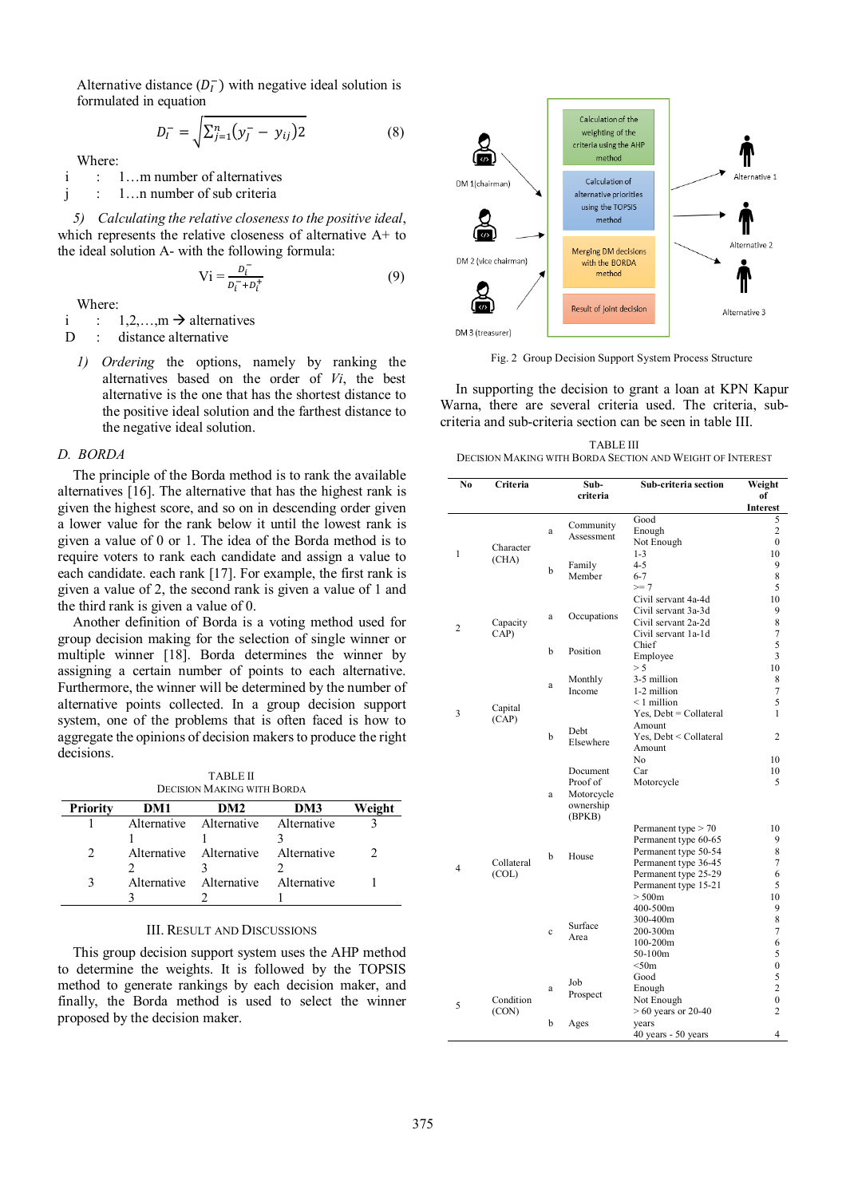Alternative distance  $(D_l^-)$  with negative ideal solution is formulated in equation

$$
D_I^- = \sqrt{\sum_{j=1}^n (y_j^- - y_{ij})^2}
$$
 (8)

Where:

i : 1…m number of alternatives

j : 1…n number of sub criteria

*5) Calculating the relative closeness to the positive ideal*, which represents the relative closeness of alternative A+ to the ideal solution A- with the following formula:

$$
Vi = \frac{D_i^-}{D_i^- + D_i^+}
$$
 (9)

Where:

i :  $1,2,...,m \rightarrow$  alternatives

D : distance alternative

*1) Ordering* the options, namely by ranking the alternatives based on the order of *Vi*, the best alternative is the one that has the shortest distance to the positive ideal solution and the farthest distance to the negative ideal solution.

### *D. BORDA*

The principle of the Borda method is to rank the available alternatives [16]. The alternative that has the highest rank is given the highest score, and so on in descending order given a lower value for the rank below it until the lowest rank is given a value of 0 or 1. The idea of the Borda method is to require voters to rank each candidate and assign a value to each candidate. each rank [17]. For example, the first rank is given a value of 2, the second rank is given a value of 1 and the third rank is given a value of 0.

Another definition of Borda is a voting method used for group decision making for the selection of single winner or multiple winner [18]. Borda determines the winner by assigning a certain number of points to each alternative. Furthermore, the winner will be determined by the number of alternative points collected. In a group decision support system, one of the problems that is often faced is how to aggregate the opinions of decision makers to produce the right decisions.

TABLE II DECISION MAKING WITH BORDA

| <b>Priority</b> | DM1 | DM <sub>2</sub>                     | DM3 | Weight |
|-----------------|-----|-------------------------------------|-----|--------|
|                 |     | Alternative Alternative Alternative |     |        |
|                 |     |                                     |     |        |
|                 |     | Alternative Alternative Alternative |     |        |
|                 |     |                                     |     |        |
|                 |     | Alternative Alternative Alternative |     |        |
|                 |     |                                     |     |        |

#### III. RESULT AND DISCUSSIONS

This group decision support system uses the AHP method to determine the weights. It is followed by the TOPSIS method to generate rankings by each decision maker, and finally, the Borda method is used to select the winner proposed by the decision maker.



Fig. 2 Group Decision Support System Process Structure

In supporting the decision to grant a loan at KPN Kapur Warna, there are several criteria used. The criteria, subcriteria and sub-criteria section can be seen in table III.

TABLE III DECISION MAKING WITH BORDA SECTION AND WEIGHT OF INTEREST

| No             | Criteria   |             | Sub-                 | Sub-criteria section                         | Weight                         |
|----------------|------------|-------------|----------------------|----------------------------------------------|--------------------------------|
|                |            |             | criteria             |                                              | of<br><b>Interest</b>          |
|                |            |             | Community            | Good                                         | 5                              |
|                |            | a           | Assessment           | Enough<br>Not Enough                         | $\overline{c}$<br>$\mathbf{0}$ |
| 1              | Character  |             |                      | $1 - 3$                                      | 10                             |
|                | (CHA)      | b           | Family               | $4 - 5$                                      | 9                              |
|                |            |             | Member               | $6 - 7$                                      | 8                              |
|                |            |             |                      | $>= 7$<br>Civil servant 4a-4d                | 5<br>10                        |
|                |            |             |                      | Civil servant 3a-3d                          | 9                              |
| $\overline{2}$ | Capacity   | a           | Occupations          | Civil servant 2a-2d                          | 8                              |
|                | CAP)       |             |                      | Civil servant 1a-1d                          | $\boldsymbol{7}$               |
|                |            | b           | Position             | Chief<br>Employee                            | 5<br>3                         |
|                |            |             |                      | > 5                                          | 10                             |
|                |            |             | Monthly              | 3-5 million                                  | 8                              |
|                |            | a           | Income               | 1-2 million                                  | 7                              |
| 3              | Capital    |             |                      | $<$ 1 million<br>$Yes, Debt = Collateral$    | 5<br>1                         |
|                | (CAP)      |             |                      | Amount                                       |                                |
|                |            | b           | Debt<br>Elsewhere    | Yes, Debt < Collateral                       | 2                              |
|                |            |             |                      | Amount                                       |                                |
|                |            |             |                      | N <sub>o</sub>                               | 10                             |
|                |            |             | Document<br>Proof of | Car<br>Motorcycle                            | 10<br>5                        |
|                |            | a           | Motorcycle           |                                              |                                |
|                |            |             | ownership<br>(BPKB)  |                                              |                                |
|                |            |             |                      | Permanent type > 70                          | 10                             |
|                |            |             |                      | Permanent type 60-65                         | 9                              |
|                | Collateral | b           | House                | Permanent type 50-54<br>Permanent type 36-45 | 8<br>7                         |
| 4              | (COL)      |             |                      | Permanent type 25-29                         | 6                              |
|                |            |             |                      | Permanent type 15-21                         | 5                              |
|                |            |             |                      | > 500m                                       | 10                             |
|                |            |             |                      | 400-500m<br>300-400m                         | 9<br>8                         |
|                |            | $\mathbf c$ | Surface              | 200-300m                                     | 7                              |
|                |            |             | Area                 | $100 - 200m$                                 | 6                              |
|                |            |             |                      | 50-100m                                      | 5                              |
|                |            |             |                      | < 50m                                        | $\bf{0}$                       |
|                |            | a           | Job                  | Good<br>Enough                               | 5<br>$\overline{c}$            |
|                | Condition  |             | Prospect             | Not Enough                                   | $\mathbf{0}$                   |
| 5              | (CON)      |             |                      | $>60$ years or 20-40                         | $\overline{c}$                 |
|                |            | b           | Ages                 | years                                        |                                |
|                |            |             |                      | 40 years - 50 years                          | 4                              |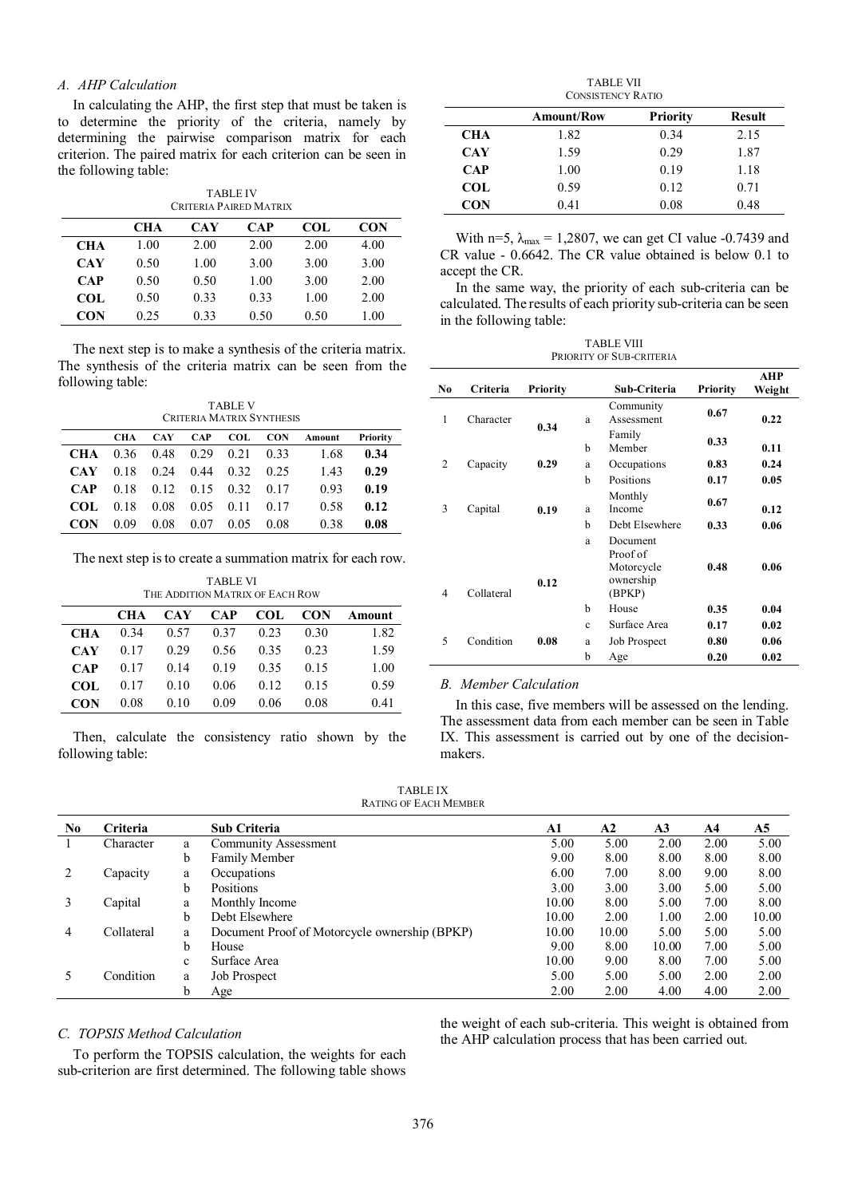# *A. AHP Calculation*

In calculating the AHP, the first step that must be taken is to determine the priority of the criteria, namely by determining the pairwise comparison matrix for each criterion. The paired matrix for each criterion can be seen in the following table:

| <b>TABLE IV</b>        |  |
|------------------------|--|
| Criteria Paired Matrix |  |

|            | CH A | CAY  | <b>CAP</b> | COL  | <b>CON</b> |
|------------|------|------|------------|------|------------|
| <b>CHA</b> | 1.00 | 2.00 | 2.00       | 2.00 | 4.00       |
| <b>CAY</b> | 0.50 | 1.00 | 3.00       | 3.00 | 3.00       |
| <b>CAP</b> | 0.50 | 0.50 | 1.00       | 3.00 | 2.00       |
| COL.       | 0.50 | 0.33 | 0.33       | 1.00 | 2.00       |
| <b>CON</b> | 0.25 | 0.33 | 0.50       | 0.50 | 1.00       |

The next step is to make a synthesis of the criteria matrix. The synthesis of the criteria matrix can be seen from the following table:

| <b>TABLE V</b><br>CRITERIA MATRIX SYNTHESIS |            |            |            |            |            |        |          |
|---------------------------------------------|------------|------------|------------|------------|------------|--------|----------|
|                                             | <b>CHA</b> | <b>CAY</b> | <b>CAP</b> | <b>COL</b> | <b>CON</b> | Amount | Priority |
| CHA                                         | 0.36       | 0.48       | 0.29       | 0.21       | 0.33       | 1.68   | 0.34     |
| CAY                                         | 0.18       | 0.24       | 0.44       | 0.32       | 0.25       | 1.43   | 0.29     |
| <b>CAP</b>                                  | 0.18       | 0.12       | 0.15       | 0.32       | 0.17       | 0.93   | 0.19     |
| COL.                                        | 0.18       | 0.08       | 0.05       | 0.11       | 0.17       | 0.58   | 0.12     |
| CON                                         | 0.09       | 0.08       | 0.07       | 0.05       | 0.08       | 0.38   | 0.08     |

The next step is to create a summation matrix for each row.

| TABLE VI<br>THE ADDITION MATRIX OF EACH ROW |      |            |      |      |      |        |  |  |
|---------------------------------------------|------|------------|------|------|------|--------|--|--|
|                                             | CHA  | <b>CAY</b> | CAP  | COL. | CON  | Amount |  |  |
| <b>CHA</b>                                  | 0.34 | 0.57       | 0.37 | 0.23 | 0.30 | 1.82   |  |  |
| <b>CAY</b>                                  | 0.17 | 0.29       | 0.56 | 0.35 | 0.23 | 1.59   |  |  |
| <b>CAP</b>                                  | 0.17 | 0.14       | 0.19 | 0.35 | 0.15 | 1.00   |  |  |
| COL                                         | 0.17 | 0.10       | 0.06 | 0.12 | 0.15 | 0.59   |  |  |
| <b>CON</b>                                  | 0.08 | 0.10       | 0.09 | 0.06 | 0.08 | 0.41   |  |  |

Then, calculate the consistency ratio shown by the following table:

| <b>TABLE VII</b>         |
|--------------------------|
| <b>CONSISTENCY RATIO</b> |

|            | Amount/Row | <b>Priority</b> | Result |
|------------|------------|-----------------|--------|
| <b>CHA</b> | 1.82       | 0.34            | 2.15   |
| <b>CAY</b> | 1.59       | 0.29            | 1.87   |
| <b>CAP</b> | 1.00       | 0.19            | 1.18   |
| <b>COL</b> | 0.59       | 0.12            | 0.71   |
| <b>CON</b> | 0.41       | 0.08            | 0.48   |

With n=5,  $\lambda_{\text{max}}$  = 1,2807, we can get CI value -0.7439 and CR value - 0.6642. The CR value obtained is below 0.1 to accept the CR.

In the same way, the priority of each sub-criteria can be calculated. The results of each priority sub-criteria can be seen in the following table:

TABLE VIII PRIORITY OF SUB-CRITERIA

|                |            |                 |              |                                                           |          | <b>AHP</b> |
|----------------|------------|-----------------|--------------|-----------------------------------------------------------|----------|------------|
| N <sub>0</sub> | Criteria   | <b>Priority</b> |              | Sub-Criteria                                              | Priority | Weight     |
| 1              | Character  | 0.34            | a            | Community<br>Assessment                                   | 0.67     | 0.22       |
|                |            |                 | b            | Family<br>Member                                          | 0.33     | 0.11       |
| $\overline{c}$ | Capacity   | 0.29            | a            | Occupations                                               | 0.83     | 0.24       |
|                |            |                 | b            | Positions                                                 | 0.17     | 0.05       |
| 3              | Capital    | 0.19            | a            | Monthly<br>Income                                         | 0.67     | 0.12       |
|                |            |                 | h            | Debt Elsewhere                                            | 0.33     | 0.06       |
| $\overline{4}$ | Collateral | 0.12            | a            | Document<br>Proof of<br>Motorcycle<br>ownership<br>(BPKP) | 0.48     | 0.06       |
|                |            |                 | b            | House                                                     | 0.35     | 0.04       |
|                |            |                 | $\mathbf{c}$ | Surface Area                                              | 0.17     | 0.02       |
| 5              | Condition  | 0.08            | a            | Job Prospect                                              | 0.80     | 0.06       |
|                |            |                 | b            | Age                                                       | 0.20     | 0.02       |

# *B. Member Calculation*

In this case, five members will be assessed on the lending. The assessment data from each member can be seen in Table IX. This assessment is carried out by one of the decisionmakers.

TABLE IX RATING OF EACH MEMBER

| N <sub>0</sub> | <b>Criteria</b> |              | <b>Sub Criteria</b>                           | A1    | A <sub>2</sub> | A <sub>3</sub> | A4   | A <sub>5</sub> |
|----------------|-----------------|--------------|-----------------------------------------------|-------|----------------|----------------|------|----------------|
|                | Character       | a            | <b>Community Assessment</b>                   | 5.00  | 5.00           | 2.00           | 2.00 | 5.00           |
|                |                 | b            | Family Member                                 | 9.00  | 8.00           | 8.00           | 8.00 | 8.00           |
|                | Capacity        | a            | Occupations                                   | 6.00  | 7.00           | 8.00           | 9.00 | 8.00           |
|                |                 | b.           | Positions                                     | 3.00  | 3.00           | 3.00           | 5.00 | 5.00           |
|                | Capital         | a            | Monthly Income                                | 10.00 | 8.00           | 5.00           | 7.00 | 8.00           |
|                |                 | b.           | Debt Elsewhere                                | 10.00 | 2.00           | 1.00           | 2.00 | 10.00          |
| 4              | Collateral      | a            | Document Proof of Motorcycle ownership (BPKP) | 10.00 | 10.00          | 5.00           | 5.00 | 5.00           |
|                |                 | b            | House                                         | 9.00  | 8.00           | 10.00          | 7.00 | 5.00           |
|                |                 | $\mathbf{c}$ | Surface Area                                  | 10.00 | 9.00           | 8.00           | 7.00 | 5.00           |
|                | Condition       | a            | Job Prospect                                  | 5.00  | 5.00           | 5.00           | 2.00 | 2.00           |
|                |                 | b            | Age                                           | 2.00  | 2.00           | 4.00           | 4.00 | 2.00           |

## *C. TOPSIS Method Calculation*

To perform the TOPSIS calculation, the weights for each sub-criterion are first determined. The following table shows the weight of each sub-criteria. This weight is obtained from the AHP calculation process that has been carried out.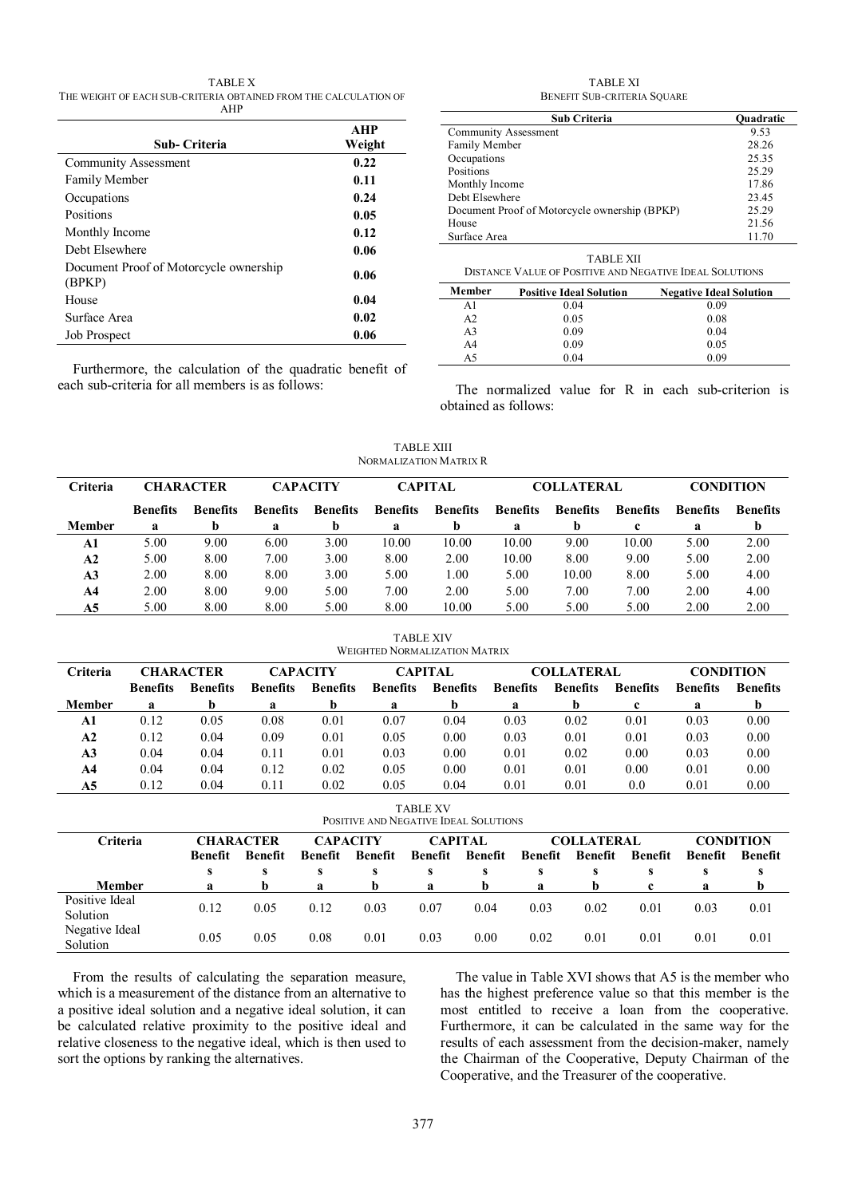TABLE X THE WEIGHT OF EACH SUB-CRITERIA OBTAINED FROM THE CALCULATION OF AHP

| Sub- Criteria                                    | <b>AHP</b><br>Weight |
|--------------------------------------------------|----------------------|
| <b>Community Assessment</b>                      | 0.22                 |
| <b>Family Member</b>                             | 0.11                 |
| Occupations                                      | 0.24                 |
| Positions                                        | 0.05                 |
| Monthly Income                                   | 0.12                 |
| Debt Elsewhere                                   | 0.06                 |
| Document Proof of Motorcycle ownership<br>(BPKP) | 0.06                 |
| House                                            | 0.04                 |
| Surface Area                                     | 0.02                 |
| <b>Job Prospect</b>                              | 0.06                 |

Furthermore, the calculation of the quadratic benefit of each sub-criteria for all members is as follows:

#### TABLE XI BENEFIT SUB-CRITERIA SQUARE

| <b>Sub Criteria</b>                           | <b>Quadratic</b> |
|-----------------------------------------------|------------------|
| <b>Community Assessment</b>                   | 9.53             |
| Family Member                                 | 28.26            |
| Occupations                                   | 25.35            |
| Positions                                     | 25.29            |
| Monthly Income                                | 17.86            |
| Debt Elsewhere                                | 23.45            |
| Document Proof of Motorcycle ownership (BPKP) | 25.29            |
| House                                         | 21.56            |
| Surface Area                                  | 11.70            |
|                                               |                  |

| TABLE XII                                                      |
|----------------------------------------------------------------|
| <b>DISTANCE VALUE OF POSITIVE AND NEGATIVE IDEAL SOLUTIONS</b> |

| Member         | <b>Positive Ideal Solution</b> | <b>Negative Ideal Solution</b> |
|----------------|--------------------------------|--------------------------------|
| A1             | 0.04                           | 0.09                           |
| A <sub>2</sub> | 0.05                           | 0.08                           |
| A <sub>3</sub> | 0.09                           | 0.04                           |
| A <sub>4</sub> | 0.09                           | 0.05                           |
| A5             | 0.04                           | 0.09                           |

The normalized value for R in each sub-criterion is obtained as follows:

TABLE XIII NORMALIZATION MATRIX R

| Criteria       |                 | <b>CHARACTER</b> | <b>CAPACITY</b> |                 |                 | <b>CAPITAL</b>  |                 | <b>COLLATERAL</b> |                 |                 | <b>CONDITION</b> |
|----------------|-----------------|------------------|-----------------|-----------------|-----------------|-----------------|-----------------|-------------------|-----------------|-----------------|------------------|
|                | <b>Benefits</b> | <b>Benefits</b>  | <b>Benefits</b> | <b>Benefits</b> | <b>Benefits</b> | <b>Benefits</b> | <b>Benefits</b> | <b>Benefits</b>   | <b>Benefits</b> | <b>Benefits</b> | <b>Benefits</b>  |
| <b>Member</b>  | a               |                  | a               | h               | a               | $\mathbf b$     | a               | h                 | c               | a               | b                |
| A1             | 5.00            | 9.00             | 6.00            | 3.00            | 10.00           | 10.00           | 10.00           | 9.00              | 10.00           | 5.00            | 2.00             |
| A2             | 5.00            | 8.00             | 7.00            | 3.00            | 8.00            | 2.00            | 10.00           | 8.00              | 9.00            | 5.00            | 2.00             |
| A <sub>3</sub> | 2.00            | 8.00             | 8.00            | 3.00            | 5.00            | 1.00            | 5.00            | 10.00             | 8.00            | 5.00            | 4.00             |
| A <sub>4</sub> | 2.00            | 8.00             | 9.00            | 5.00            | 7.00            | 2.00            | 5.00            | 7.00              | 7.00            | 2.00            | 4.00             |
| A5             | 5.00            | 8.00             | 8.00            | 5.00            | 8.00            | 10.00           | 5.00            | 5.00              | 5.00            | 2.00            | 2.00             |

WEIGHTED NORMALIZATION MATRIX **Criteria CHARACTER CAPACITY CAPITAL COLLATERAL CONDITION Benefits Benefits Benefits Benefits Benefits Benefits Benefits Benefits Benefits Benefits Benefits Member a b a b a b a b c a b A1** 0.12 0.05 0.08 0.01 0.07 0.04 0.03 0.02 0.01 0.03 0.00 **A2** 0.12 0.04 0.09 0.01 0.05 0.00 0.03 0.01 0.01 0.03 0.00 **A3** 0.04 0.04 0.11 0.01 0.03 0.00 0.01 0.02 0.00 0.03 0.00 **A4** 0.04 0.04 0.12 0.02 0.05 0.00 0.01 0.01 0.00 0.01 0.00 **A5** 0.12 0.04 0.11 0.02 0.05 0.04 0.01 0.01 0.0 0.01 0.00

TABLE XIV

TABLE XV

| POSITIVE AND NEGATIVE IDEAL SOLUTIONS |                  |                |                 |         |                |         |                   |         |                  |         |                |
|---------------------------------------|------------------|----------------|-----------------|---------|----------------|---------|-------------------|---------|------------------|---------|----------------|
| Criteria                              | <b>CHARACTER</b> |                | <b>CAPACITY</b> |         | <b>CAPITAL</b> |         | <b>COLLATERAL</b> |         | <b>CONDITION</b> |         |                |
|                                       | <b>Benefit</b>   | <b>Benefit</b> | Benefit         | Benefit | Benefit        | Benefit | Benefit           | Benefit | Benefit          | Benefit | <b>Benefit</b> |
|                                       | s                | s              |                 | s       | s              | s       | s                 |         | s                | s       |                |
| <b>Member</b>                         | я                |                | я               |         | a              |         | я                 |         | c                | a       | b              |
| Positive Ideal<br>Solution            | 0.12             | 0.05           | 0.12            | 0.03    | 0.07           | 0.04    | 0.03              | 0.02    | 0.01             | 0.03    | 0.01           |
| Negative Ideal<br>Solution            | 0.05             | 0.05           | 0.08            | 0.01    | 0.03           | 0.00    | 0.02              | 0.01    | 0.01             | 0.01    | 0.01           |

From the results of calculating the separation measure, which is a measurement of the distance from an alternative to a positive ideal solution and a negative ideal solution, it can be calculated relative proximity to the positive ideal and relative closeness to the negative ideal, which is then used to sort the options by ranking the alternatives.

The value in Table XVI shows that A5 is the member who has the highest preference value so that this member is the most entitled to receive a loan from the cooperative. Furthermore, it can be calculated in the same way for the results of each assessment from the decision-maker, namely the Chairman of the Cooperative, Deputy Chairman of the Cooperative, and the Treasurer of the cooperative.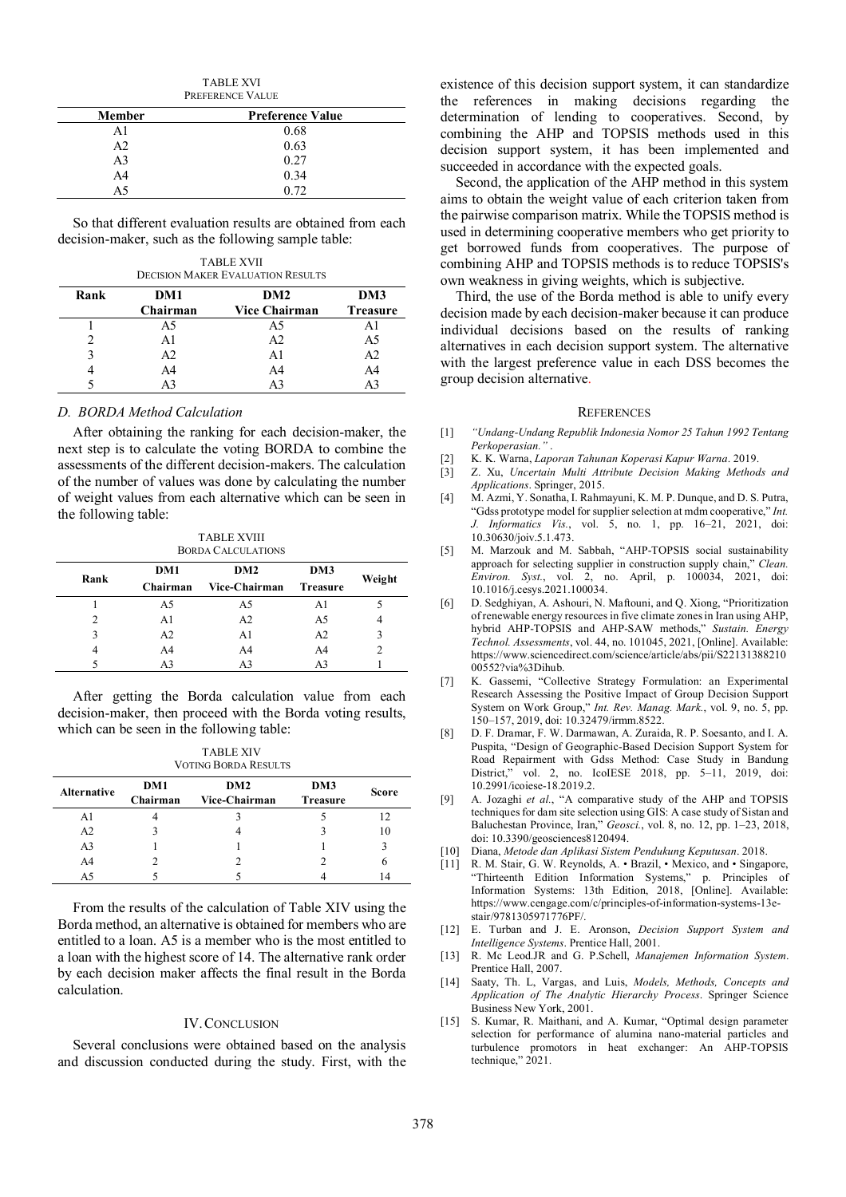| <b>TABLE XVI</b> |  |
|------------------|--|
| PREFERENCE VALUE |  |

| <b>Member</b> | <b>Preference Value</b> |  |  |  |
|---------------|-------------------------|--|--|--|
| ΑI            | 0.68                    |  |  |  |
| A2            | 0.63                    |  |  |  |
| A3            | 0.27                    |  |  |  |
| A4            | 0.34                    |  |  |  |
| A5            | 0.72                    |  |  |  |

So that different evaluation results are obtained from each decision-maker, such as the following sample table:

TABLE XVII DECISION MAKER EVALUATION RESULTS

| Rank | DM1<br>Chairman | DM <sub>2</sub><br><b>Vice Chairman</b> | DM3<br><b>Treasure</b> |
|------|-----------------|-----------------------------------------|------------------------|
|      | A5              | A5                                      |                        |
|      | ΑI              | A2                                      | A5                     |
| 3    | A <sub>2</sub>  | A1                                      | A2                     |
|      | A4              | A4                                      | A4                     |
|      |                 |                                         |                        |

## *D. BORDA Method Calculation*

After obtaining the ranking for each decision-maker, the next step is to calculate the voting BORDA to combine the assessments of the different decision-makers. The calculation of the number of values was done by calculating the number of weight values from each alternative which can be seen in the following table:

TABLE XVIII BORDA CALCULATIONS

|      | DM1      | DM2            | DM3             |        |
|------|----------|----------------|-----------------|--------|
| Rank | Chairman | Vice-Chairman  | <b>Treasure</b> | Weight |
|      | A5       | A5             | Al              |        |
| 2    | Al       | A <sub>2</sub> | A5              |        |
| 3    | A2       | A1             | A <sub>2</sub>  |        |
| 4    | A4       | A4             | A4              |        |
|      | A3       | A3             | A3              |        |

After getting the Borda calculation value from each decision-maker, then proceed with the Borda voting results, which can be seen in the following table:

| <b>TABLE XIV</b>     |  |
|----------------------|--|
| VOTING BORDA RESULTS |  |

| <b>Alternative</b> | DM1<br>Chairman | DM2<br>Vice-Chairman | DM3<br><b>Treasure</b> | Score |
|--------------------|-----------------|----------------------|------------------------|-------|
| Αl                 |                 |                      |                        |       |
| A <sub>2</sub>     |                 |                      |                        |       |
| A3                 |                 |                      |                        |       |
| A4                 |                 |                      |                        |       |
| A5                 |                 |                      |                        |       |

From the results of the calculation of Table XIV using the Borda method, an alternative is obtained for members who are entitled to a loan. A5 is a member who is the most entitled to a loan with the highest score of 14. The alternative rank order by each decision maker affects the final result in the Borda calculation.

## IV.CONCLUSION

Several conclusions were obtained based on the analysis and discussion conducted during the study. First, with the existence of this decision support system, it can standardize the references in making decisions regarding the determination of lending to cooperatives. Second, by combining the AHP and TOPSIS methods used in this decision support system, it has been implemented and succeeded in accordance with the expected goals.

Second, the application of the AHP method in this system aims to obtain the weight value of each criterion taken from the pairwise comparison matrix. While the TOPSIS method is used in determining cooperative members who get priority to get borrowed funds from cooperatives. The purpose of combining AHP and TOPSIS methods is to reduce TOPSIS's own weakness in giving weights, which is subjective.

Third, the use of the Borda method is able to unify every decision made by each decision-maker because it can produce individual decisions based on the results of ranking alternatives in each decision support system. The alternative with the largest preference value in each DSS becomes the group decision alternative.

#### **REFERENCES**

- [1] *"Undang-Undang Republik Indonesia Nomor 25 Tahun 1992 Tentang Perkoperasian."* .
- [2] K. K. Warna, *Laporan Tahunan Koperasi Kapur Warna*. 2019.
- [3] Z. Xu, *Uncertain Multi Attribute Decision Making Methods and Applications*. Springer, 2015.
- [4] M. Azmi, Y. Sonatha, I. Rahmayuni, K. M. P. Dunque, and D. S. Putra, "Gdss prototype model for supplier selection at mdm cooperative," *Int. J. Informatics Vis.*, vol. 5, no. 1, pp. 16–21, 2021, doi: 10.30630/joiv.5.1.473.
- [5] M. Marzouk and M. Sabbah, "AHP-TOPSIS social sustainability approach for selecting supplier in construction supply chain," *Clean. Environ. Syst.*, vol. 2, no. April, p. 100034, 2021, doi: 10.1016/j.cesys.2021.100034.
- [6] D. Sedghiyan, A. Ashouri, N. Maftouni, and Q. Xiong, "Prioritization of renewable energy resources in five climate zones in Iran using AHP, hybrid AHP-TOPSIS and AHP-SAW methods," *Sustain. Energy Technol. Assessments*, vol. 44, no. 101045, 2021, [Online]. Available: https://www.sciencedirect.com/science/article/abs/pii/S22131388210 00552?via%3Dihub.
- [7] K. Gassemi, "Collective Strategy Formulation: an Experimental Research Assessing the Positive Impact of Group Decision Support System on Work Group," *Int. Rev. Manag. Mark.*, vol. 9, no. 5, pp. 150–157, 2019, doi: 10.32479/irmm.8522.
- [8] D. F. Dramar, F. W. Darmawan, A. Zuraida, R. P. Soesanto, and I. A. Puspita, "Design of Geographic-Based Decision Support System for Road Repairment with Gdss Method: Case Study in Bandung District," vol. 2, no. IcoIESE 2018, pp. 5–11, 2019, doi: 10.2991/icoiese-18.2019.2.
- [9] A. Jozaghi *et al.*, "A comparative study of the AHP and TOPSIS techniques for dam site selection using GIS: A case study of Sistan and Baluchestan Province, Iran," *Geosci.*, vol. 8, no. 12, pp. 1–23, 2018, doi: 10.3390/geosciences8120494.
- [10] Diana, *Metode dan Aplikasi Sistem Pendukung Keputusan*. 2018.
- [11] R. M. Stair, G. W. Reynolds, A. Brazil, Mexico, and Singapore, "Thirteenth Edition Information Systems," p. Principles of Information Systems: 13th Edition, 2018, [Online]. Available: https://www.cengage.com/c/principles-of-information-systems-13estair/9781305971776PF/.
- [12] E. Turban and J. E. Aronson, *Decision Support System and Intelligence Systems*. Prentice Hall, 2001.
- [13] R. Mc Leod.JR and G. P.Schell, *Manajemen Information System*. Prentice Hall, 2007.
- [14] Saaty, Th. L, Vargas, and Luis, *Models, Methods, Concepts and Application of The Analytic Hierarchy Process*. Springer Science Business New York, 2001.
- [15] S. Kumar, R. Maithani, and A. Kumar, "Optimal design parameter selection for performance of alumina nano-material particles and turbulence promotors in heat exchanger: An AHP-TOPSIS technique," 2021.